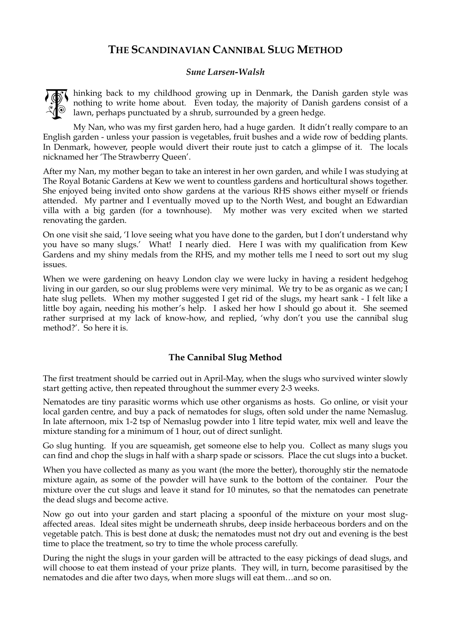## **THE SCANDINAVIAN CANNIBAL SLUG METHOD**

## *Sune Larsen-Walsh*



hinking back to my childhood growing up in Denmark, the Danish garden style was nothing to write home about. Even today, the majority of Danish gardens consist of a lawn, perhaps punctuated by a shrub, surrounded by a green hedge.

My Nan, who was my first garden hero, had a huge garden. It didn't really compare to an English garden - unless your passion is vegetables, fruit bushes and a wide row of bedding plants. In Denmark, however, people would divert their route just to catch a glimpse of it. The locals nicknamed her 'The Strawberry Queen'.

After my Nan, my mother began to take an interest in her own garden, and while I was studying at The Royal Botanic Gardens at Kew we went to countless gardens and horticultural shows together. She enjoyed being invited onto show gardens at the various RHS shows either myself or friends attended. My partner and I eventually moved up to the North West, and bought an Edwardian villa with a big garden (for a townhouse). My mother was very excited when we started renovating the garden.

On one visit she said, 'I love seeing what you have done to the garden, but I don't understand why you have so many slugs.' What! I nearly died. Here I was with my qualification from Kew Gardens and my shiny medals from the RHS, and my mother tells me I need to sort out my slug issues.

When we were gardening on heavy London clay we were lucky in having a resident hedgehog living in our garden, so our slug problems were very minimal. We try to be as organic as we can; I hate slug pellets. When my mother suggested I get rid of the slugs, my heart sank - I felt like a little boy again, needing his mother's help. I asked her how I should go about it. She seemed rather surprised at my lack of know-how, and replied, 'why don't you use the cannibal slug method?'. So here it is.

## **The Cannibal Slug Method**

The first treatment should be carried out in April-May, when the slugs who survived winter slowly start getting active, then repeated throughout the summer every 2-3 weeks.

Nematodes are tiny parasitic worms which use other organisms as hosts. Go online, or visit your local garden centre, and buy a pack of nematodes for slugs, often sold under the name Nemaslug. In late afternoon, mix 1-2 tsp of Nemaslug powder into 1 litre tepid water, mix well and leave the mixture standing for a minimum of 1 hour, out of direct sunlight.

Go slug hunting. If you are squeamish, get someone else to help you. Collect as many slugs you can find and chop the slugs in half with a sharp spade or scissors. Place the cut slugs into a bucket.

When you have collected as many as you want (the more the better), thoroughly stir the nematode mixture again, as some of the powder will have sunk to the bottom of the container. Pour the mixture over the cut slugs and leave it stand for 10 minutes, so that the nematodes can penetrate the dead slugs and become active.

Now go out into your garden and start placing a spoonful of the mixture on your most slugaffected areas. Ideal sites might be underneath shrubs, deep inside herbaceous borders and on the vegetable patch. This is best done at dusk; the nematodes must not dry out and evening is the best time to place the treatment, so try to time the whole process carefully.

During the night the slugs in your garden will be attracted to the easy pickings of dead slugs, and will choose to eat them instead of your prize plants. They will, in turn, become parasitised by the nematodes and die after two days, when more slugs will eat them…and so on.